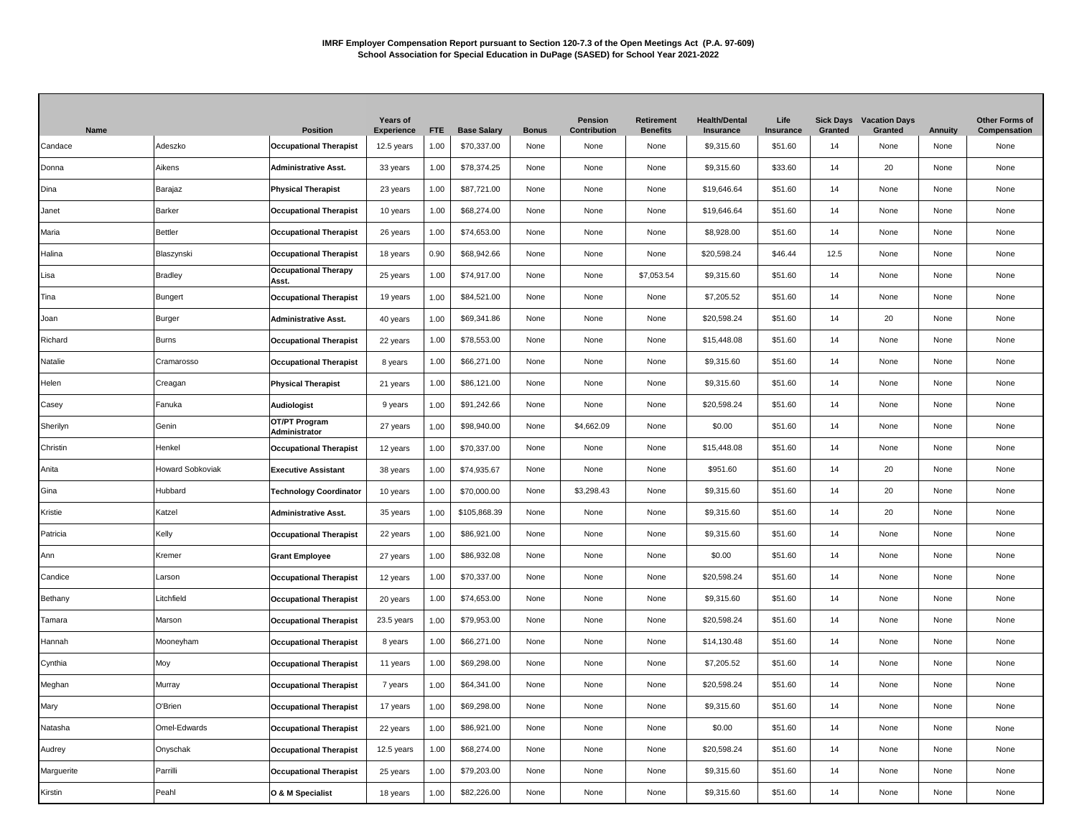| Name       |                         | <b>Position</b>                      | <b>Years of</b><br><b>Experience</b> | <b>FTE</b> | <b>Base Salary</b> | <b>Bonus</b> | Pension<br>Contribution | <b>Retirement</b><br><b>Benefits</b> | <b>Health/Dental</b><br>Insurance | Life<br>Insurance | Granted | <b>Sick Days</b> Vacation Days<br>Granted | <b>Annuity</b> | Other Forms of<br>Compensation |
|------------|-------------------------|--------------------------------------|--------------------------------------|------------|--------------------|--------------|-------------------------|--------------------------------------|-----------------------------------|-------------------|---------|-------------------------------------------|----------------|--------------------------------|
| Candace    | Adeszko                 | <b>Occupational Therapist</b>        | 12.5 years                           | 1.00       | \$70,337.00        | None         | None                    | None                                 | \$9,315.60                        | \$51.60           | 14      | None                                      | None           | None                           |
| Donna      | Aikens                  | <b>Administrative Asst.</b>          | 33 years                             | 1.00       | \$78,374.25        | None         | None                    | None                                 | \$9,315.60                        | \$33.60           | 14      | 20                                        | None           | None                           |
| Dina       | Barajaz                 | <b>Physical Therapist</b>            | 23 years                             | 1.00       | \$87,721.00        | None         | None                    | None                                 | \$19,646.64                       | \$51.60           | 14      | None                                      | None           | None                           |
| Janet      | Barker                  | <b>Occupational Therapist</b>        | 10 years                             | 1.00       | \$68,274.00        | None         | None                    | None                                 | \$19,646.64                       | \$51.60           | 14      | None                                      | None           | None                           |
| Maria      | <b>Bettler</b>          | <b>Occupational Therapist</b>        | 26 years                             | 1.00       | \$74,653.00        | None         | None                    | None                                 | \$8,928.00                        | \$51.60           | 14      | None                                      | None           | None                           |
| Halina     | Blaszynski              | <b>Occupational Therapist</b>        | 18 years                             | 0.90       | \$68,942.66        | None         | None                    | None                                 | \$20,598.24                       | \$46.44           | 12.5    | None                                      | None           | None                           |
| Lisa       | <b>Bradley</b>          | <b>Occupational Therapy</b><br>Asst. | 25 years                             | 1.00       | \$74,917.00        | None         | None                    | \$7,053.54                           | \$9,315.60                        | \$51.60           | 14      | None                                      | None           | None                           |
| Tina       | Bungert                 | <b>Occupational Therapist</b>        | 19 years                             | 1.00       | \$84,521.00        | None         | None                    | None                                 | \$7,205.52                        | \$51.60           | 14      | None                                      | None           | None                           |
| Joan       | Burger                  | <b>Administrative Asst.</b>          | 40 years                             | 1.00       | \$69,341.86        | None         | None                    | None                                 | \$20,598.24                       | \$51.60           | 14      | 20                                        | None           | None                           |
| Richard    | Burns                   | <b>Occupational Therapist</b>        | 22 years                             | 1.00       | \$78,553.00        | None         | None                    | None                                 | \$15,448.08                       | \$51.60           | 14      | None                                      | None           | None                           |
| Natalie    | Cramarosso              | <b>Occupational Therapist</b>        | 8 years                              | 1.00       | \$66,271.00        | None         | None                    | None                                 | \$9,315.60                        | \$51.60           | 14      | None                                      | None           | None                           |
| Helen      | Creagan                 | <b>Physical Therapist</b>            | 21 years                             | 1.00       | \$86,121.00        | None         | None                    | None                                 | \$9,315.60                        | \$51.60           | 14      | None                                      | None           | None                           |
| Casey      | Fanuka                  | <b>Audiologist</b>                   | 9 years                              | 1.00       | \$91,242.66        | None         | None                    | None                                 | \$20,598.24                       | \$51.60           | 14      | None                                      | None           | None                           |
| Sherilyn   | Genin                   | OT/PT Program<br>Administrator       | 27 years                             | 1.00       | \$98,940.00        | None         | \$4,662.09              | None                                 | \$0.00                            | \$51.60           | 14      | None                                      | None           | None                           |
| Christin   | Henkel                  | <b>Occupational Therapist</b>        | 12 years                             | 1.00       | \$70,337.00        | None         | None                    | None                                 | \$15,448.08                       | \$51.60           | 14      | None                                      | None           | None                           |
| Anita      | <b>Howard Sobkoviak</b> | <b>Executive Assistant</b>           | 38 years                             | 1.00       | \$74,935.67        | None         | None                    | None                                 | \$951.60                          | \$51.60           | 14      | 20                                        | None           | None                           |
| Gina       | Hubbard                 | <b>Technology Coordinator</b>        | 10 years                             | 1.00       | \$70,000.00        | None         | \$3,298.43              | None                                 | \$9,315.60                        | \$51.60           | 14      | 20                                        | None           | None                           |
| Kristie    | Katzel                  | Administrative Asst.                 | 35 years                             | 1.00       | \$105,868.39       | None         | None                    | None                                 | \$9,315.60                        | \$51.60           | 14      | 20                                        | None           | None                           |
| Patricia   | Kelly                   | <b>Occupational Therapist</b>        | 22 years                             | 1.00       | \$86,921.00        | None         | None                    | None                                 | \$9,315.60                        | \$51.60           | 14      | None                                      | None           | None                           |
| Ann        | Kremer                  | <b>Grant Employee</b>                | 27 years                             | 1.00       | \$86,932.08        | None         | None                    | None                                 | \$0.00                            | \$51.60           | 14      | None                                      | None           | None                           |
| Candice    | Larson                  | <b>Occupational Therapist</b>        | 12 years                             | 1.00       | \$70,337.00        | None         | None                    | None                                 | \$20,598.24                       | \$51.60           | 14      | None                                      | None           | None                           |
| Bethany    | Litchfield              | <b>Occupational Therapist</b>        | 20 years                             | 1.00       | \$74,653.00        | None         | None                    | None                                 | \$9,315.60                        | \$51.60           | 14      | None                                      | None           | None                           |
| Tamara     | Marson                  | <b>Occupational Therapist</b>        | 23.5 years                           | 1.00       | \$79,953.00        | None         | None                    | None                                 | \$20,598.24                       | \$51.60           | 14      | None                                      | None           | None                           |
| Hannah     | Mooneyham               | <b>Occupational Therapist</b>        | 8 years                              | 1.00       | \$66,271.00        | None         | None                    | None                                 | \$14,130.48                       | \$51.60           | 14      | None                                      | None           | None                           |
| Cynthia    | Moy                     | <b>Occupational Therapist</b>        | 11 years                             | 1.00       | \$69,298.00        | None         | None                    | None                                 | \$7,205.52                        | \$51.60           | 14      | None                                      | None           | None                           |
| Meghan     | Murray                  | <b>Occupational Therapist</b>        | 7 years                              | 1.00       | \$64,341.00        | None         | None                    | None                                 | \$20,598.24                       | \$51.60           | 14      | None                                      | None           | None                           |
| Mary       | O'Brien                 | <b>Occupational Therapist</b>        | 17 years                             | 1.00       | \$69,298.00        | None         | None                    | None                                 | \$9,315.60                        | \$51.60           | 14      | None                                      | None           | None                           |
| Natasha    | Omel-Edwards            | <b>Occupational Therapist</b>        | 22 years                             | 1.00       | \$86,921.00        | None         | None                    | None                                 | \$0.00                            | \$51.60           | 14      | None                                      | None           | None                           |
| Audrey     | Onyschak                | <b>Occupational Therapist</b>        | 12.5 years                           | 1.00       | \$68,274.00        | None         | None                    | None                                 | \$20,598.24                       | \$51.60           | 14      | None                                      | None           | None                           |
| Marguerite | Parrilli                | <b>Occupational Therapist</b>        | 25 years                             | 1.00       | \$79,203.00        | None         | None                    | None                                 | \$9,315.60                        | \$51.60           | 14      | None                                      | None           | None                           |
| Kirstin    | Peahl                   | O & M Specialist                     | 18 years                             | 1.00       | \$82,226.00        | None         | None                    | None                                 | \$9,315.60                        | \$51.60           | 14      | None                                      | None           | None                           |